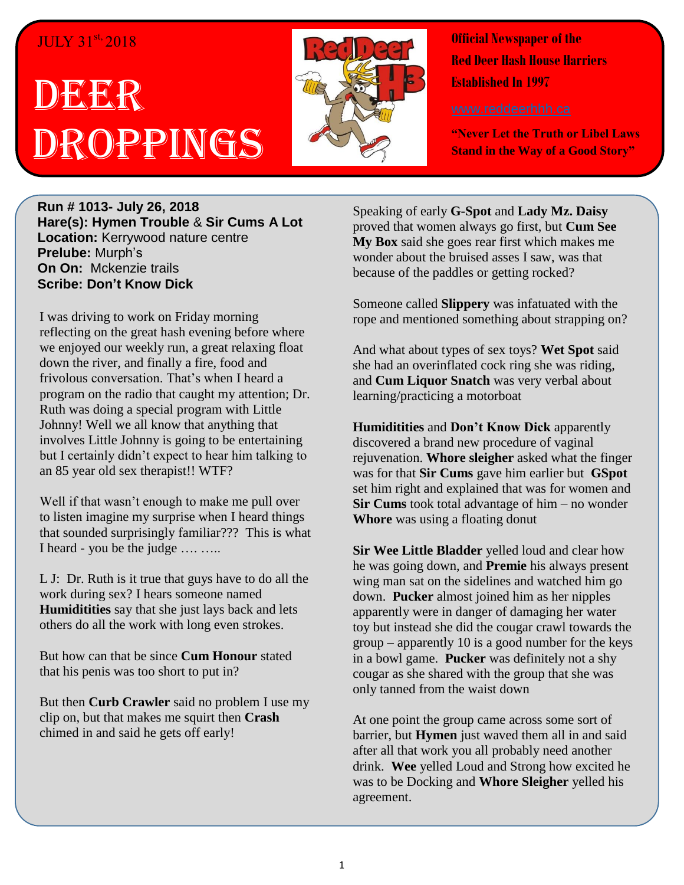#### JULY 31st, 2018

# DEER Droppings



**Official Newspaper of the Red Deer Hash House Harriers Established In 1997** 

**"Never Let the Truth or Libel Laws Stand in the Way of a Good Story"**

**Run # 1013- July 26, 2018 Hare(s): Hymen Trouble** & **Sir Cums A Lot Location:** Kerrywood nature centre **Prelube:** Murph's **On On:** Mckenzie trails **Scribe: Don't Know Dick**

I was driving to work on Friday morning reflecting on the great hash evening before where we enjoyed our weekly run, a great relaxing float down the river, and finally a fire, food and frivolous conversation. That's when I heard a program on the radio that caught my attention; Dr. Ruth was doing a special program with Little Johnny! Well we all know that anything that involves Little Johnny is going to be entertaining but I certainly didn't expect to hear him talking to an 85 year old sex therapist!! WTF?

Well if that wasn't enough to make me pull over to listen imagine my surprise when I heard things that sounded surprisingly familiar??? This is what I heard - you be the judge …. …..

L J: Dr. Ruth is it true that guys have to do all the work during sex? I hears someone named **Humiditities** say that she just lays back and lets others do all the work with long even strokes.

But how can that be since **Cum Honour** stated that his penis was too short to put in?

But then **Curb Crawler** said no problem I use my clip on, but that makes me squirt then **Crash** chimed in and said he gets off early!

Speaking of early **G-Spot** and **Lady Mz. Daisy** proved that women always go first, but **Cum See My Box** said she goes rear first which makes me wonder about the bruised asses I saw, was that because of the paddles or getting rocked?

Someone called **Slippery** was infatuated with the rope and mentioned something about strapping on?

And what about types of sex toys? **Wet Spot** said she had an overinflated cock ring she was riding, and **Cum Liquor Snatch** was very verbal about learning/practicing a motorboat

**Humiditities** and **Don't Know Dick** apparently discovered a brand new procedure of vaginal rejuvenation. **Whore sleigher** asked what the finger was for that **Sir Cums** gave him earlier but **GSpot** set him right and explained that was for women and **Sir Cums** took total advantage of him – no wonder **Whore** was using a floating donut

**Sir Wee Little Bladder** yelled loud and clear how he was going down, and **Premie** his always present wing man sat on the sidelines and watched him go down. **Pucker** almost joined him as her nipples apparently were in danger of damaging her water toy but instead she did the cougar crawl towards the group – apparently 10 is a good number for the keys in a bowl game. **Pucker** was definitely not a shy cougar as she shared with the group that she was only tanned from the waist down

At one point the group came across some sort of barrier, but **Hymen** just waved them all in and said after all that work you all probably need another drink. **Wee** yelled Loud and Strong how excited he was to be Docking and **Whore Sleigher** yelled his agreement.